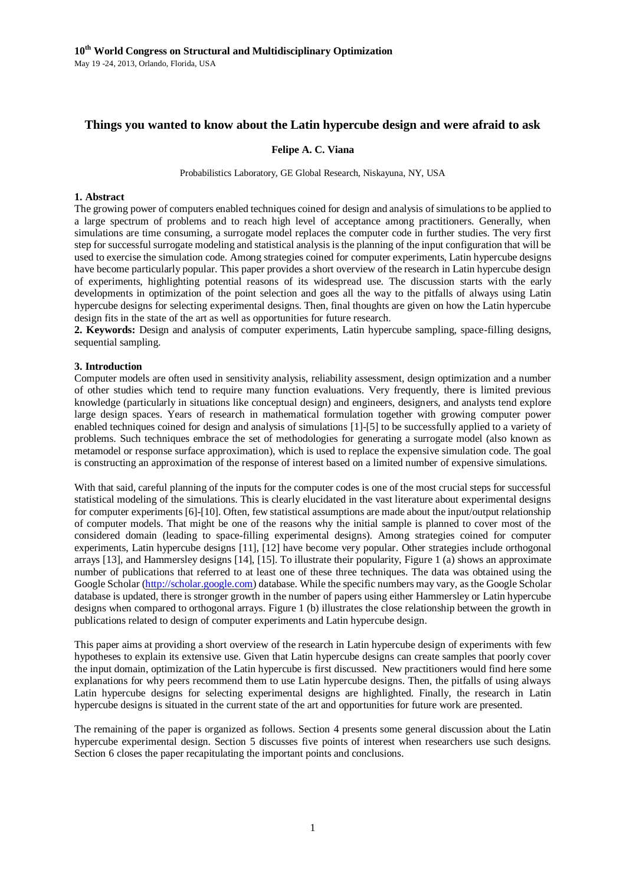# **Things you wanted to know about the Latin hypercube design and were afraid to ask**

## **Felipe A. C. Viana**

Probabilistics Laboratory, GE Global Research, Niskayuna, NY, USA

## **1. Abstract**

The growing power of computers enabled techniques coined for design and analysis of simulations to be applied to a large spectrum of problems and to reach high level of acceptance among practitioners. Generally, when simulations are time consuming, a surrogate model replaces the computer code in further studies. The very first step for successful surrogate modeling and statistical analysis is the planning of the input configuration that will be used to exercise the simulation code. Among strategies coined for computer experiments, Latin hypercube designs have become particularly popular. This paper provides a short overview of the research in Latin hypercube design of experiments, highlighting potential reasons of its widespread use. The discussion starts with the early developments in optimization of the point selection and goes all the way to the pitfalls of always using Latin hypercube designs for selecting experimental designs. Then, final thoughts are given on how the Latin hypercube design fits in the state of the art as well as opportunities for future research.

**2. Keywords:** Design and analysis of computer experiments, Latin hypercube sampling, space-filling designs, sequential sampling.

## **3. Introduction**

Computer models are often used in sensitivity analysis, reliability assessment, design optimization and a number of other studies which tend to require many function evaluations. Very frequently, there is limited previous knowledge (particularly in situations like conceptual design) and engineers, designers, and analysts tend explore large design spaces. Years of research in mathematical formulation together with growing computer power enabled techniques coined for design and analysis of simulations [\[1\]](#page-7-0)[-\[5\]](#page-7-1) to be successfully applied to a variety of problems. Such techniques embrace the set of methodologies for generating a surrogate model (also known as metamodel or response surface approximation), which is used to replace the expensive simulation code. The goal is constructing an approximation of the response of interest based on a limited number of expensive simulations.

With that said, careful planning of the inputs for the computer codes is one of the most crucial steps for successful statistical modeling of the simulations. This is clearly elucidated in the vast literature about experimental designs for computer experiments [\[6\]-](#page-7-2)[\[10\].](#page-7-3) Often, few statistical assumptions are made about the input/output relationship of computer models. That might be one of the reasons why the initial sample is planned to cover most of the considered domain (leading to space-filling experimental designs). Among strategies coined for computer experiments, Latin hypercube designs [\[11\],](#page-7-4) [\[12\]](#page-7-5) have become very popular. Other strategies include orthogonal arrays [\[13\],](#page-7-6) and Hammersley designs [\[14\],](#page-7-7) [\[15\].](#page-7-8) To illustrate their popularity, [Figure 1](#page-1-0) (a) shows an approximate number of publications that referred to at least one of these three techniques. The data was obtained using the Google Scholar [\(http://scholar.google.com\)](http://scholar.google.com/) database. While the specific numbers may vary, as the Google Scholar database is updated, there is stronger growth in the number of papers using either Hammersley or Latin hypercube designs when compared to orthogonal arrays. [Figure 1](#page-1-0) (b) illustrates the close relationship between the growth in publications related to design of computer experiments and Latin hypercube design.

This paper aims at providing a short overview of the research in Latin hypercube design of experiments with few hypotheses to explain its extensive use. Given that Latin hypercube designs can create samples that poorly cover the input domain, optimization of the Latin hypercube is first discussed. New practitioners would find here some explanations for why peers recommend them to use Latin hypercube designs. Then, the pitfalls of using always Latin hypercube designs for selecting experimental designs are highlighted. Finally, the research in Latin hypercube designs is situated in the current state of the art and opportunities for future work are presented.

The remaining of the paper is organized as follows. Section 4 presents some general discussion about the Latin hypercube experimental design. Section 5 discusses five points of interest when researchers use such designs. Section 6 closes the paper recapitulating the important points and conclusions.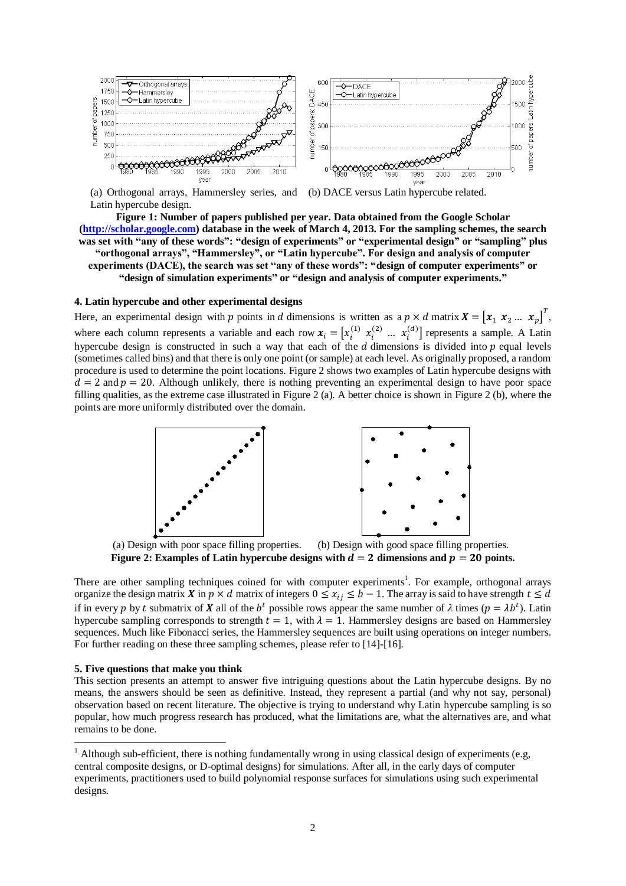

(a) Orthogonal arrays, Hammersley series, and Latin hypercube design.



<span id="page-1-0"></span>**Figure 1: Number of papers published per year. Data obtained from the Google Scholar [\(http://scholar.google.com\)](http://scholar.google.com/) database in the week of March 4, 2013. For the sampling schemes, the search was set with "any of these words": "design of experiments" or "experimental design" or "sampling" plus "orthogonal arrays", "Hammersley", or "Latin hypercube". For design and analysis of computer experiments (DACE), the search was set "any of these words": "design of computer experiments" or "design of simulation experiments" or "design and analysis of computer experiments."**

## **4. Latin hypercube and other experimental designs**

Here, an experimental design with p points in d dimensions is written as a  $p \times d$  matrix  $X = \begin{bmatrix} x_1 & x_2 & \dots & x_n \end{bmatrix}^T$ , where each column represents a variable and each row  $x_i = [x_i^{(1)} \ x_i^{(2)} \ ... \ x_i^{(d)}]$  represents a sample. A Latin hypercube design is constructed in such a way that each of the  $d$  dimensions is divided into  $p$  equal levels (sometimes called bins) and that there is only one point (or sample) at each level. As originally proposed, a random procedure is used to determine the point locations[. Figure 2](#page-1-1) shows two examples of Latin hypercube designs with  $d = 2$  and  $p = 20$ . Although unlikely, there is nothing preventing an experimental design to have poor space filling qualities, as the extreme case illustrated in [Figure 2](#page-1-1) (a). A better choice is shown i[n Figure 2](#page-1-1) (b), where the points are more uniformly distributed over the domain.



(a) Design with poor space filling properties. (b) Design with good space filling properties. **Figure 2: Examples of Latin hypercube designs with**  $d = 2$  **dimensions and**  $p = 20$  **points.** 

<span id="page-1-1"></span>There are other sampling techniques coined for with computer experiments<sup>1</sup>. For example, orthogonal arrays organize the design matrix X in  $p \times d$  matrix of integers  $0 \le x_{ij} \le b - 1$ . The array is said to have strength  $t \le d$ if in every p by t submatrix of X all of the  $b^t$  possible rows appear the same number of  $\lambda$  times ( $p = \lambda b^t$ ). Latin hypercube sampling corresponds to strength  $t = 1$ , with  $\lambda = 1$ . Hammersley designs are based on Hammersley sequences. Much like Fibonacci series, the Hammersley sequences are built using operations on integer numbers. For further reading on these three sampling schemes, please refer t[o \[14\]](#page-7-7)[-\[16\].](#page-7-9)

#### **5. Five questions that make you think**

-

This section presents an attempt to answer five intriguing questions about the Latin hypercube designs. By no means, the answers should be seen as definitive. Instead, they represent a partial (and why not say, personal) observation based on recent literature. The objective is trying to understand why Latin hypercube sampling is so popular, how much progress research has produced, what the limitations are, what the alternatives are, and what remains to be done.

 $1$  Although sub-efficient, there is nothing fundamentally wrong in using classical design of experiments (e.g, central composite designs, or D-optimal designs) for simulations. After all, in the early days of computer experiments, practitioners used to build polynomial response surfaces for simulations using such experimental designs.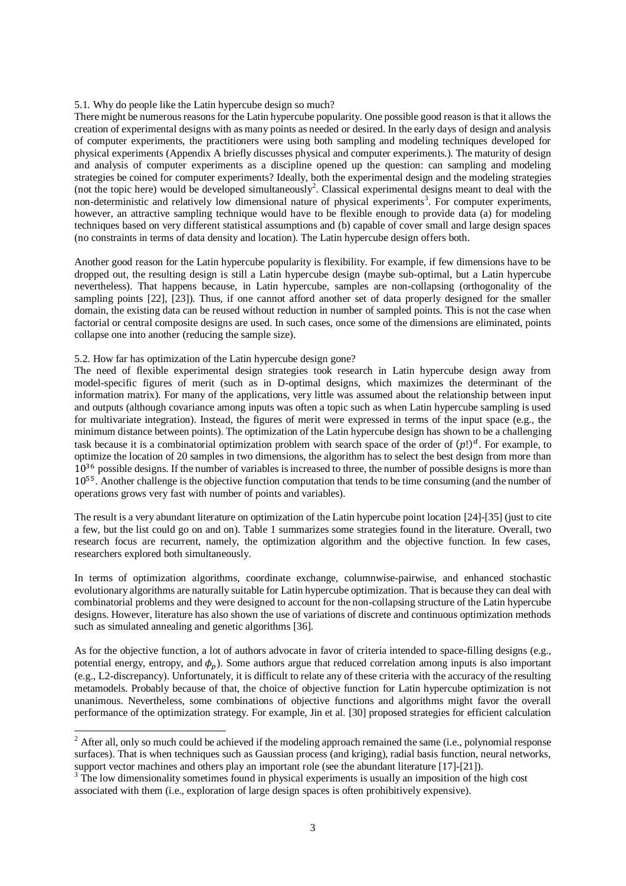## 5.1. Why do people like the Latin hypercube design so much?

There might be numerous reasons for the Latin hypercube popularity. One possible good reason is that it allows the creation of experimental designs with as many points as needed or desired. In the early days of design and analysis of computer experiments, the practitioners were using both sampling and modeling techniques developed for physical experiments (Appendix A briefly discusses physical and computer experiments.). The maturity of design and analysis of computer experiments as a discipline opened up the question: can sampling and modeling strategies be coined for computer experiments? Ideally, both the experimental design and the modeling strategies (not the topic here) would be developed simultaneously<sup>2</sup>. Classical experimental designs meant to deal with the non-deterministic and relatively low dimensional nature of physical experiments<sup>3</sup>. For computer experiments, however, an attractive sampling technique would have to be flexible enough to provide data (a) for modeling techniques based on very different statistical assumptions and (b) capable of cover small and large design spaces (no constraints in terms of data density and location). The Latin hypercube design offers both.

Another good reason for the Latin hypercube popularity is flexibility. For example, if few dimensions have to be dropped out, the resulting design is still a Latin hypercube design (maybe sub-optimal, but a Latin hypercube nevertheless). That happens because, in Latin hypercube, samples are non-collapsing (orthogonality of the sampling points [\[22\],](#page-7-10) [\[23\]\)](#page-7-11). Thus, if one cannot afford another set of data properly designed for the smaller domain, the existing data can be reused without reduction in number of sampled points. This is not the case when factorial or central composite designs are used. In such cases, once some of the dimensions are eliminated, points collapse one into another (reducing the sample size).

### 5.2. How far has optimization of the Latin hypercube design gone?

-

The need of flexible experimental design strategies took research in Latin hypercube design away from model-specific figures of merit (such as in D-optimal designs, which maximizes the determinant of the information matrix). For many of the applications, very little was assumed about the relationship between input and outputs (although covariance among inputs was often a topic such as when Latin hypercube sampling is used for multivariate integration). Instead, the figures of merit were expressed in terms of the input space (e.g., the minimum distance between points). The optimization of the Latin hypercube design has shown to be a challenging task because it is a combinatorial optimization problem with search space of the order of  $(p!)^d$ . For example, to optimize the location of 20 samples in two dimensions, the algorithm has to select the best design from more than  $10^{36}$  possible designs. If the number of variables is increased to three, the number of possible designs is more than 10<sup>55</sup>. Another challenge is the objective function computation that tends to be time consuming (and the number of operations grows very fast with number of points and variables).

The result is a very abundant literature on optimization of the Latin hypercube point location [\[24\]](#page-7-12)[-\[35\]](#page-8-0) (just to cite a few, but the list could go on and on). [Table 1](#page-3-0) summarizes some strategies found in the literature. Overall, two research focus are recurrent, namely, the optimization algorithm and the objective function. In few cases, researchers explored both simultaneously.

In terms of optimization algorithms, coordinate exchange, columnwise-pairwise, and enhanced stochastic evolutionary algorithms are naturally suitable for Latin hypercube optimization. That is because they can deal with combinatorial problems and they were designed to account for the non-collapsing structure of the Latin hypercube designs. However, literature has also shown the use of variations of discrete and continuous optimization methods such as simulated annealing and genetic algorithms [\[36\].](#page-8-1)

As for the objective function, a lot of authors advocate in favor of criteria intended to space-filling designs (e.g., potential energy, entropy, and  $\phi_n$ ). Some authors argue that reduced correlation among inputs is also important (e.g., L2-discrepancy). Unfortunately, it is difficult to relate any of these criteria with the accuracy of the resulting metamodels. Probably because of that, the choice of objective function for Latin hypercube optimization is not unanimous. Nevertheless, some combinations of objective functions and algorithms might favor the overall performance of the optimization strategy. For example, Jin et al. [\[30\]](#page-8-2) proposed strategies for efficient calculation

 $2$  After all, only so much could be achieved if the modeling approach remained the same (i.e., polynomial response surfaces). That is when techniques such as Gaussian process (and kriging), radial basis function, neural networks, support vector machines and others play an important role (see the abundant literature [\[17\]](#page-7-13)[-\[21\]\)](#page-7-14).

<sup>&</sup>lt;sup>3</sup> The low dimensionality sometimes found in physical experiments is usually an imposition of the high cost associated with them (i.e., exploration of large design spaces is often prohibitively expensive).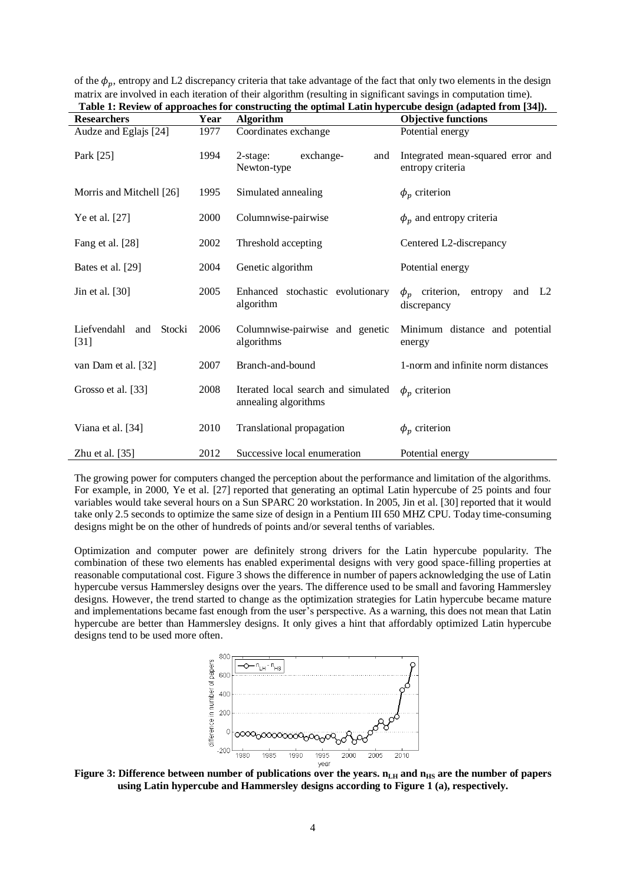<span id="page-3-0"></span>

| Table 1: Review of approaches for constructing the optimal Latin hypercube design (adapted from [54]). |      |                                                             |                                                                     |
|--------------------------------------------------------------------------------------------------------|------|-------------------------------------------------------------|---------------------------------------------------------------------|
| <b>Researchers</b>                                                                                     | Year | <b>Algorithm</b>                                            | <b>Objective functions</b>                                          |
| Audze and Eglajs [24]                                                                                  | 1977 | Coordinates exchange                                        | Potential energy                                                    |
| Park [25]                                                                                              | 1994 | $2$ -stage:<br>exchange-<br>and<br>Newton-type              | Integrated mean-squared error and<br>entropy criteria               |
| Morris and Mitchell [26]                                                                               | 1995 | Simulated annealing                                         | $\phi_p$ criterion                                                  |
| Ye et al. [27]                                                                                         | 2000 | Columnwise-pairwise                                         | $\phi_p$ and entropy criteria                                       |
| Fang et al. [28]                                                                                       | 2002 | Threshold accepting                                         | Centered L2-discrepancy                                             |
| Bates et al. [29]                                                                                      | 2004 | Genetic algorithm                                           | Potential energy                                                    |
| Jin et al. [30]                                                                                        | 2005 | Enhanced stochastic evolutionary<br>algorithm               | $\phi_n$ criterion,<br>entropy<br>and L <sub>2</sub><br>discrepancy |
| Liefvendahl and<br>Stocki<br>$[31]$                                                                    | 2006 | Columnwise-pairwise and genetic<br>algorithms               | Minimum distance and potential<br>energy                            |
| van Dam et al. [32]                                                                                    | 2007 | Branch-and-bound                                            | 1-norm and infinite norm distances                                  |
| Grosso et al. [33]                                                                                     | 2008 | Iterated local search and simulated<br>annealing algorithms | $\phi_n$ criterion                                                  |
| Viana et al. [34]                                                                                      | 2010 | Translational propagation                                   | $\phi_p$ criterion                                                  |
| Zhu et al. $[35]$                                                                                      | 2012 | Successive local enumeration                                | Potential energy                                                    |

of the  $\phi_p$ , entropy and L2 discrepancy criteria that take advantage of the fact that only two elements in the design matrix are involved in each iteration of their algorithm (resulting in significant savings in computation time). **Table 1: Review of approaches for constructing the optimal Latin hypercube design (adapted from [\[34\]\)](#page-8-3).**

The growing power for computers changed the perception about the performance and limitation of the algorithms. For example, in 2000, Ye et al. [\[27\]](#page-8-6) reported that generating an optimal Latin hypercube of 25 points and four variables would take several hours on a Sun SPARC 20 workstation. In 2005, Jin et al. [\[30\]](#page-8-2) reported that it would take only 2.5 seconds to optimize the same size of design in a Pentium III 650 MHZ CPU. Today time-consuming designs might be on the other of hundreds of points and/or several tenths of variables.

Optimization and computer power are definitely strong drivers for the Latin hypercube popularity. The combination of these two elements has enabled experimental designs with very good space-filling properties at reasonable computational cost[. Figure 3](#page-3-1) shows the difference in number of papers acknowledging the use of Latin hypercube versus Hammersley designs over the years. The difference used to be small and favoring Hammersley designs. However, the trend started to change as the optimization strategies for Latin hypercube became mature and implementations became fast enough from the user's perspective. As a warning, this does not mean that Latin hypercube are better than Hammersley designs. It only gives a hint that affordably optimized Latin hypercube designs tend to be used more often.



<span id="page-3-1"></span>**Figure 3: Difference between number of publications over the years.**  $n_{LH}$  **and**  $n_{HS}$  **are the number of papers using Latin hypercube and Hammersley designs according to [Figure 1](#page-1-0) (a), respectively.**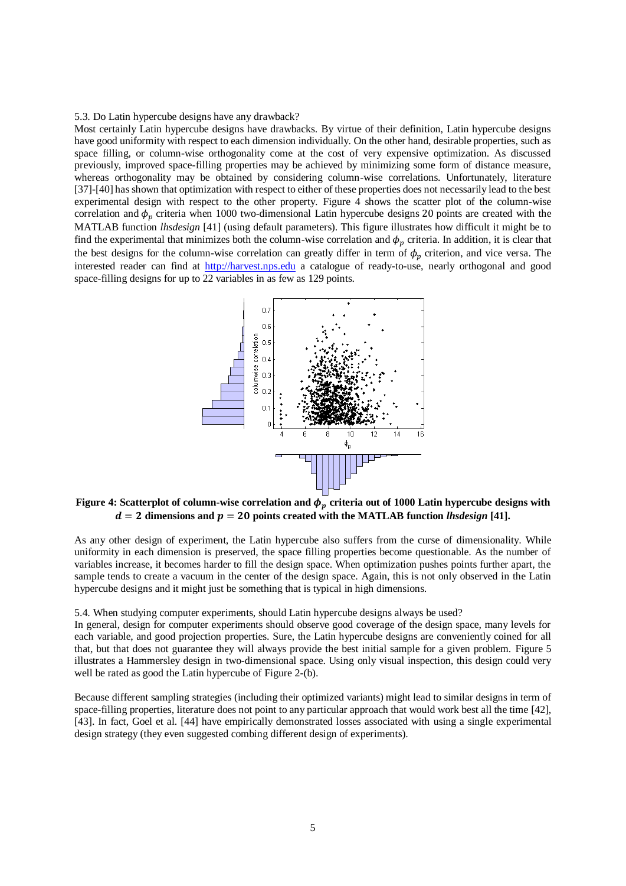#### 5.3. Do Latin hypercube designs have any drawback?

Most certainly Latin hypercube designs have drawbacks. By virtue of their definition, Latin hypercube designs have good uniformity with respect to each dimension individually. On the other hand, desirable properties, such as space filling, or column-wise orthogonality come at the cost of very expensive optimization. As discussed previously, improved space-filling properties may be achieved by minimizing some form of distance measure, whereas orthogonality may be obtained by considering column-wise correlations. Unfortunately, literature [\[37\]-](#page-8-12)[\[40\]](#page-8-13) has shown that optimization with respect to either of these properties does not necessarily lead to the best experimental design with respect to the other property. [Figure 4](#page-4-0) shows the scatter plot of the column-wise correlation and  $\phi_n$  criteria when 1000 two-dimensional Latin hypercube designs 20 points are created with the MATLAB function *lhsdesign* [\[41\]](#page-8-14) (using default parameters). This figure illustrates how difficult it might be to find the experimental that minimizes both the column-wise correlation and  $\phi_p$  criteria. In addition, it is clear that the best designs for the column-wise correlation can greatly differ in term of  $\phi_p$  criterion, and vice versa. The interested reader can find at [http://harvest.nps.edu](http://harvest.nps.edu/) a catalogue of ready-to-use, nearly orthogonal and good space-filling designs for up to 22 variables in as few as 129 points.



## <span id="page-4-0"></span>Figure 4: Scatterplot of column-wise correlation and  $\phi_p$  criteria out of 1000 Latin hypercube designs with  $d = 2$  dimensions and  $p = 20$  points created with the MATLAB function *lhsdesign* [\[41\].](#page-8-14)

As any other design of experiment, the Latin hypercube also suffers from the curse of dimensionality. While uniformity in each dimension is preserved, the space filling properties become questionable. As the number of variables increase, it becomes harder to fill the design space. When optimization pushes points further apart, the sample tends to create a vacuum in the center of the design space. Again, this is not only observed in the Latin hypercube designs and it might just be something that is typical in high dimensions.

#### 5.4. When studying computer experiments, should Latin hypercube designs always be used?

In general, design for computer experiments should observe good coverage of the design space, many levels for each variable, and good projection properties. Sure, the Latin hypercube designs are conveniently coined for all that, but that does not guarantee they will always provide the best initial sample for a given problem. [Figure 5](#page-5-0) illustrates a Hammersley design in two-dimensional space. Using only visual inspection, this design could very well be rated as good the Latin hypercube o[f Figure 2-](#page-1-1)(b).

Because different sampling strategies (including their optimized variants) might lead to similar designs in term of space-filling properties, literature does not point to any particular approach that would work best all the time [\[42\],](#page-8-15) [\[43\].](#page-8-16) In fact, Goel et al. [\[44\]](#page-8-17) have empirically demonstrated losses associated with using a single experimental design strategy (they even suggested combing different design of experiments).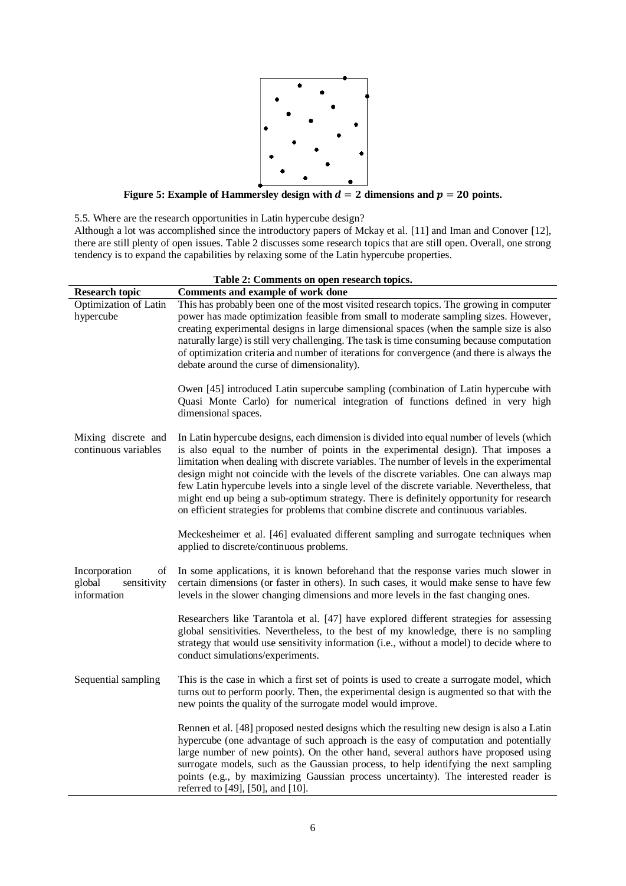

**Figure 5: Example of Hammersley design with**  $d = 2$  **dimensions and**  $p = 20$  **points.** 

<span id="page-5-0"></span>5.5. Where are the research opportunities in Latin hypercube design?

Although a lot was accomplished since the introductory papers of Mckay et al. [\[11\]](#page-7-4) and Iman and Conover [\[12\],](#page-7-5) there are still plenty of open issues. [Table 2](#page-5-1) discusses some research topics that are still open. Overall, one strong tendency is to expand the capabilities by relaxing some of the Latin hypercube properties.

<span id="page-5-1"></span>

| Table 2: Comments on open research topics.                  |                                                                                                                                                                                                                                                                                                                                                                                                                                                                                                                                                                                                                                                         |  |  |
|-------------------------------------------------------------|---------------------------------------------------------------------------------------------------------------------------------------------------------------------------------------------------------------------------------------------------------------------------------------------------------------------------------------------------------------------------------------------------------------------------------------------------------------------------------------------------------------------------------------------------------------------------------------------------------------------------------------------------------|--|--|
| <b>Research topic</b>                                       | Comments and example of work done                                                                                                                                                                                                                                                                                                                                                                                                                                                                                                                                                                                                                       |  |  |
| Optimization of Latin<br>hypercube                          | This has probably been one of the most visited research topics. The growing in computer<br>power has made optimization feasible from small to moderate sampling sizes. However,<br>creating experimental designs in large dimensional spaces (when the sample size is also<br>naturally large) is still very challenging. The task is time consuming because computation<br>of optimization criteria and number of iterations for convergence (and there is always the<br>debate around the curse of dimensionality).                                                                                                                                   |  |  |
|                                                             | Owen [45] introduced Latin supercube sampling (combination of Latin hypercube with<br>Quasi Monte Carlo) for numerical integration of functions defined in very high<br>dimensional spaces.                                                                                                                                                                                                                                                                                                                                                                                                                                                             |  |  |
| Mixing discrete and<br>continuous variables                 | In Latin hypercube designs, each dimension is divided into equal number of levels (which<br>is also equal to the number of points in the experimental design). That imposes a<br>limitation when dealing with discrete variables. The number of levels in the experimental<br>design might not coincide with the levels of the discrete variables. One can always map<br>few Latin hypercube levels into a single level of the discrete variable. Nevertheless, that<br>might end up being a sub-optimum strategy. There is definitely opportunity for research<br>on efficient strategies for problems that combine discrete and continuous variables. |  |  |
|                                                             | Meckesheimer et al. [46] evaluated different sampling and surrogate techniques when<br>applied to discrete/continuous problems.                                                                                                                                                                                                                                                                                                                                                                                                                                                                                                                         |  |  |
| Incorporation<br>οf<br>global<br>sensitivity<br>information | In some applications, it is known beforehand that the response varies much slower in<br>certain dimensions (or faster in others). In such cases, it would make sense to have few<br>levels in the slower changing dimensions and more levels in the fast changing ones.                                                                                                                                                                                                                                                                                                                                                                                 |  |  |
|                                                             | Researchers like Tarantola et al. [47] have explored different strategies for assessing<br>global sensitivities. Nevertheless, to the best of my knowledge, there is no sampling<br>strategy that would use sensitivity information (i.e., without a model) to decide where to<br>conduct simulations/experiments.                                                                                                                                                                                                                                                                                                                                      |  |  |
| Sequential sampling                                         | This is the case in which a first set of points is used to create a surrogate model, which<br>turns out to perform poorly. Then, the experimental design is augmented so that with the<br>new points the quality of the surrogate model would improve.                                                                                                                                                                                                                                                                                                                                                                                                  |  |  |
|                                                             | Rennen et al. [48] proposed nested designs which the resulting new design is also a Latin<br>hypercube (one advantage of such approach is the easy of computation and potentially<br>large number of new points). On the other hand, several authors have proposed using<br>surrogate models, such as the Gaussian process, to help identifying the next sampling<br>points (e.g., by maximizing Gaussian process uncertainty). The interested reader is<br>referred to [49], [50], and [10].                                                                                                                                                           |  |  |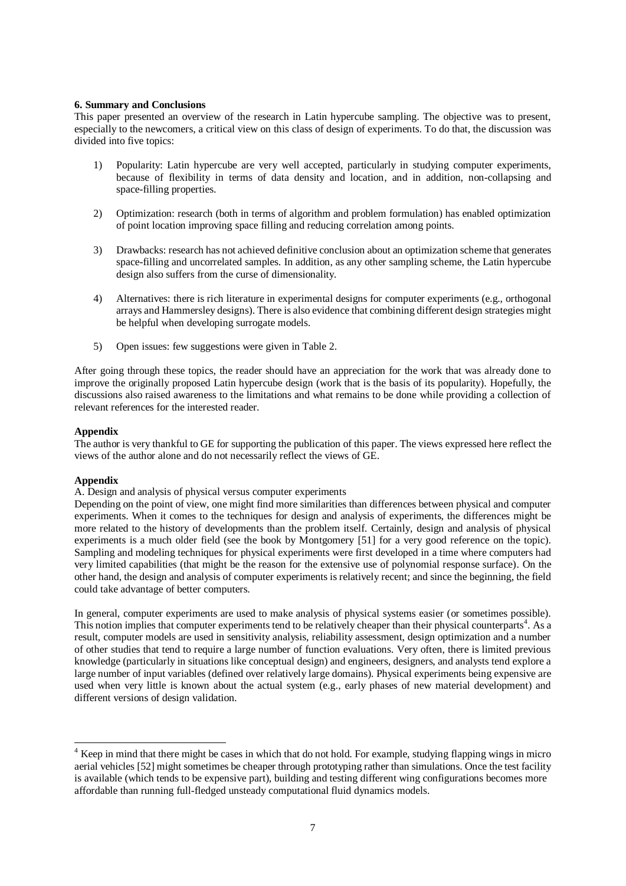## **6. Summary and Conclusions**

This paper presented an overview of the research in Latin hypercube sampling. The objective was to present, especially to the newcomers, a critical view on this class of design of experiments. To do that, the discussion was divided into five topics:

- 1) Popularity: Latin hypercube are very well accepted, particularly in studying computer experiments, because of flexibility in terms of data density and location, and in addition, non-collapsing and space-filling properties.
- 2) Optimization: research (both in terms of algorithm and problem formulation) has enabled optimization of point location improving space filling and reducing correlation among points.
- 3) Drawbacks: research has not achieved definitive conclusion about an optimization scheme that generates space-filling and uncorrelated samples. In addition, as any other sampling scheme, the Latin hypercube design also suffers from the curse of dimensionality.
- 4) Alternatives: there is rich literature in experimental designs for computer experiments (e.g., orthogonal arrays and Hammersley designs). There is also evidence that combining different design strategies might be helpful when developing surrogate models.
- 5) Open issues: few suggestions were given i[n Table 2.](#page-5-1)

After going through these topics, the reader should have an appreciation for the work that was already done to improve the originally proposed Latin hypercube design (work that is the basis of its popularity). Hopefully, the discussions also raised awareness to the limitations and what remains to be done while providing a collection of relevant references for the interested reader.

## **Appendix**

The author is very thankful to GE for supporting the publication of this paper. The views expressed here reflect the views of the author alone and do not necessarily reflect the views of GE.

## **Appendix**

-

A. Design and analysis of physical versus computer experiments

Depending on the point of view, one might find more similarities than differences between physical and computer experiments. When it comes to the techniques for design and analysis of experiments, the differences might be more related to the history of developments than the problem itself. Certainly, design and analysis of physical experiments is a much older field (see the book by Montgomery [\[51\]](#page-8-24) for a very good reference on the topic). Sampling and modeling techniques for physical experiments were first developed in a time where computers had very limited capabilities (that might be the reason for the extensive use of polynomial response surface). On the other hand, the design and analysis of computer experiments is relatively recent; and since the beginning, the field could take advantage of better computers.

In general, computer experiments are used to make analysis of physical systems easier (or sometimes possible). This notion implies that computer experiments tend to be relatively cheaper than their physical counterparts<sup>4</sup>. As a result, computer models are used in sensitivity analysis, reliability assessment, design optimization and a number of other studies that tend to require a large number of function evaluations. Very often, there is limited previous knowledge (particularly in situations like conceptual design) and engineers, designers, and analysts tend explore a large number of input variables (defined over relatively large domains). Physical experiments being expensive are used when very little is known about the actual system (e.g., early phases of new material development) and different versions of design validation.

<sup>&</sup>lt;sup>4</sup> Keep in mind that there might be cases in which that do not hold. For example, studying flapping wings in micro aerial vehicles [\[52\]](#page-8-25) might sometimes be cheaper through prototyping rather than simulations. Once the test facility is available (which tends to be expensive part), building and testing different wing configurations becomes more affordable than running full-fledged unsteady computational fluid dynamics models.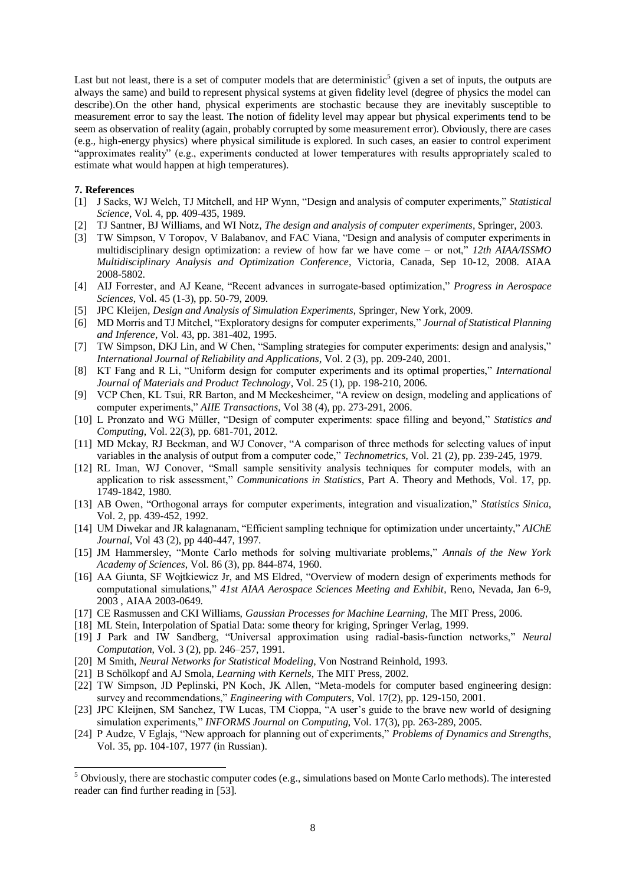Last but not least, there is a set of computer models that are deterministic<sup>5</sup> (given a set of inputs, the outputs are always the same) and build to represent physical systems at given fidelity level (degree of physics the model can describe).On the other hand, physical experiments are stochastic because they are inevitably susceptible to measurement error to say the least. The notion of fidelity level may appear but physical experiments tend to be seem as observation of reality (again, probably corrupted by some measurement error). Obviously, there are cases (e.g., high-energy physics) where physical similitude is explored. In such cases, an easier to control experiment "approximates reality" (e.g., experiments conducted at lower temperatures with results appropriately scaled to estimate what would happen at high temperatures).

### **7. References**

-

- <span id="page-7-0"></span>[1] J Sacks, WJ Welch, TJ Mitchell, and HP Wynn, "Design and analysis of computer experiments," *Statistical Science*, Vol. 4, pp. 409-435, 1989.
- [2] TJ Santner, BJ Williams, and WI Notz, *The design and analysis of computer experiments*, Springer, 2003.
- [3] TW Simpson, V Toropov, V Balabanov, and FAC Viana, "Design and analysis of computer experiments in multidisciplinary design optimization: a review of how far we have come – or not," *12th AIAA/ISSMO Multidisciplinary Analysis and Optimization Conference*, Victoria, Canada, Sep 10-12, 2008. AIAA 2008-5802.
- [4] AIJ Forrester, and AJ Keane, "Recent advances in surrogate-based optimization," *Progress in Aerospace Sciences*, Vol. 45 (1-3), pp. 50-79, 2009.
- <span id="page-7-1"></span>[5] JPC Kleijen, *Design and Analysis of Simulation Experiments*, Springer, New York, 2009.
- <span id="page-7-2"></span>[6] MD Morris and TJ Mitchel, "Exploratory designs for computer experiments," *Journal of Statistical Planning and Inference*, Vol. 43, pp. 381-402, 1995.
- [7] TW Simpson, DKJ Lin, and W Chen, "Sampling strategies for computer experiments: design and analysis," *International Journal of Reliability and Applications*, Vol. 2 (3), pp. 209-240, 2001.
- [8] KT Fang and R Li, "Uniform design for computer experiments and its optimal properties," *International Journal of Materials and Product Technology*, Vol. 25 (1), pp. 198-210, 2006.
- [9] VCP Chen, KL Tsui, RR Barton, and M Meckesheimer, "A review on design, modeling and applications of computer experiments," *AIIE Transactions*, Vol 38 (4), pp. 273-291, 2006.
- <span id="page-7-3"></span>[10] L Pronzato and WG Müller, "Design of computer experiments: space filling and beyond," *Statistics and Computing*, Vol. 22(3), pp. 681-701, 2012.
- <span id="page-7-4"></span>[11] MD Mckay, RJ Beckman, and WJ Conover, "A comparison of three methods for selecting values of input variables in the analysis of output from a computer code," *Technometrics*, Vol. 21 (2), pp. 239-245, 1979.
- <span id="page-7-5"></span>[12] RL Iman, WJ Conover, "Small sample sensitivity analysis techniques for computer models, with an application to risk assessment," *Communications in Statistics*, Part A. Theory and Methods, Vol. 17, pp. 1749-1842, 1980.
- <span id="page-7-6"></span>[13] AB Owen, "Orthogonal arrays for computer experiments, integration and visualization," *Statistics Sinica*, Vol. 2, pp. 439-452, 1992.
- <span id="page-7-7"></span>[14] UM Diwekar and JR kalagnanam, "Efficient sampling technique for optimization under uncertainty," *AIChE Journal*, Vol 43 (2), pp 440-447, 1997.
- <span id="page-7-8"></span>[15] JM Hammersley, "Monte Carlo methods for solving multivariate problems," *Annals of the New York Academy of Sciences*, Vol. 86 (3), pp. 844-874, 1960.
- <span id="page-7-9"></span>[16] AA Giunta, SF Wojtkiewicz Jr, and MS Eldred, "Overview of modern design of experiments methods for computational simulations," *41st AIAA Aerospace Sciences Meeting and Exhibit*, Reno, Nevada, Jan 6-9, 2003 , AIAA 2003-0649.
- <span id="page-7-13"></span>[17] CE Rasmussen and CKI Williams, *Gaussian Processes for Machine Learning*, The MIT Press, 2006.
- [18] ML Stein, Interpolation of Spatial Data: some theory for kriging, Springer Verlag, 1999.
- [19] J Park and IW Sandberg, "Universal approximation using radial-basis-function networks," *Neural Computation*, Vol. 3 (2), pp. 246–257, 1991.
- [20] M Smith, *Neural Networks for Statistical Modeling*, Von Nostrand Reinhold, 1993.
- <span id="page-7-14"></span>[21] B Schölkopf and AJ Smola, *Learning with Kernels*, The MIT Press, 2002.
- <span id="page-7-10"></span>[22] TW Simpson, JD Peplinski, PN Koch, JK Allen, "Meta-models for computer based engineering design: survey and recommendations," *Engineering with Computers*, Vol. 17(2), pp. 129-150, 2001.
- <span id="page-7-11"></span>[23] JPC Kleijnen, SM Sanchez, TW Lucas, TM Cioppa, "A user's guide to the brave new world of designing simulation experiments," *INFORMS Journal on Computing*, Vol. 17(3), pp. 263-289, 2005.
- <span id="page-7-12"></span>[24] P Audze, V Eglajs, "New approach for planning out of experiments," *Problems of Dynamics and Strengths*, Vol. 35, pp. 104-107, 1977 (in Russian).

<sup>5</sup> Obviously, there are stochastic computer codes (e.g., simulations based on Monte Carlo methods). The interested reader can find further reading in [\[53\].](#page-8-26)